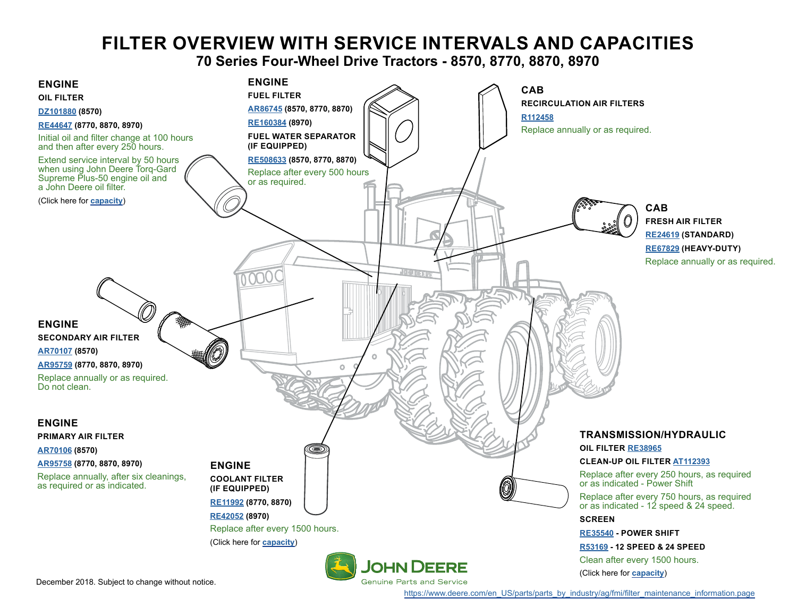# **FILTER OVERVIEW WITH SERVICE INTERVALS AND CAPACITIES**

**70 Series Four-Wheel Drive Tractors - 8570, 8770, 8870, 8970**

<span id="page-0-0"></span>